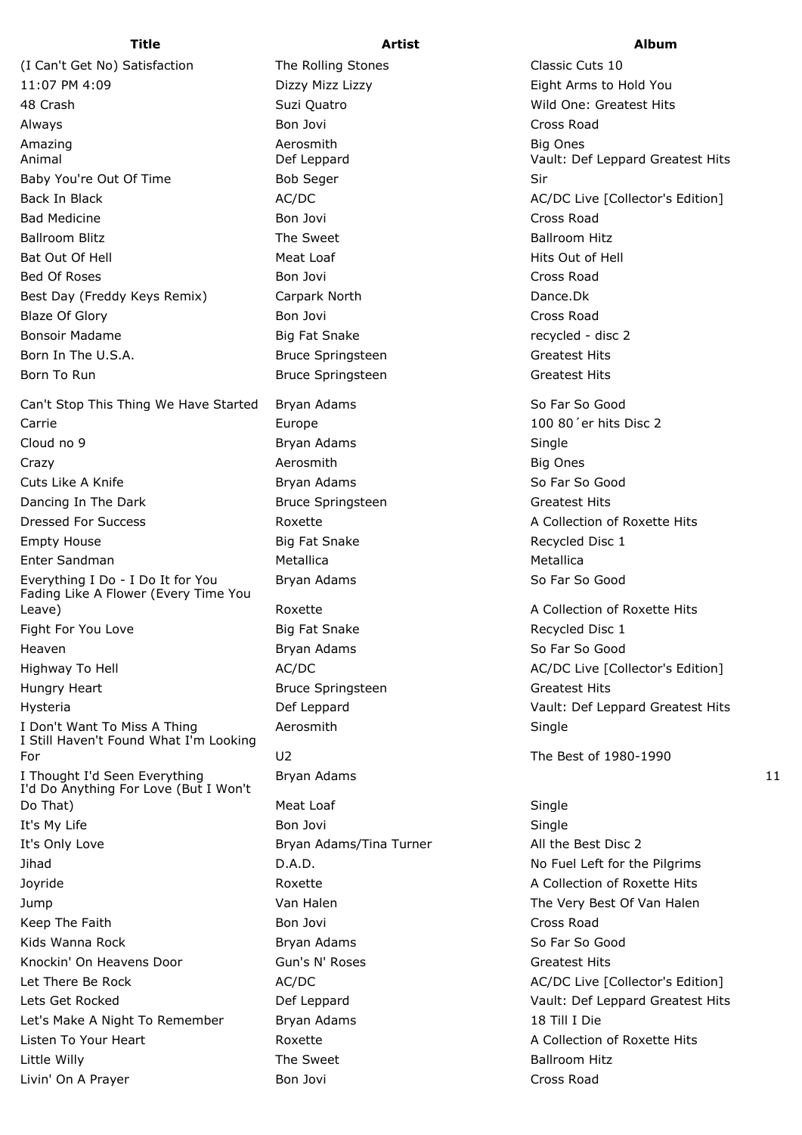11:07 PM 4:09 Dizzy Mizz Lizzy Eight Arms to Hold You 48 Crash Suzi Quatro Wild One: Greatest Hits Always **Bon Jovi** Cross Road **Cross Road** Amazing Aerosmith Big Ones Animal Def Leppard Vault: Def Leppard Greatest Hits Baby You're Out Of Time **Bob Seger** Bob Seger Sir Back In Black AC/DC AC/DC AC/DC AC/DC AC/DC AC/DC Live [Collector's Edition] Bad Medicine Bon Jovi Cross Road Ballroom Blitz **The Sweet** The Sweet Ballroom Hitz Bat Out Of Hell **Meat Loaf** Hits Out of Hell Assembly Meat Loaf Bed Of Roses **Bon Lines Bon Jovi Cross Road** Cross Road Best Day (Freddy Keys Remix) Carpark North Dance.Dk Blaze Of Glory **Bon Lines and Science Control** Bon Jovi Cross Road Cross Road Bonsoir Madame **Big Fat Snake** Recycled - disc 2 Born In The U.S.A. **Bruce Springsteen** Greatest Hits Greatest Hits Born To Run Bruce Springsteen Greatest Hits Greatest Hits

Can't Stop This Thing We Have Started Bryan Adams So Far So Good So Far So Good Carrie Europe 100 80´er hits Disc 2 Cloud no 9 **Bryan Adams** Bryan Adams Single Crazy **Big Ones and Aerosmith** Aerosmith Big Ones Big Ones Cuts Like A Knife **Bryan Adams** Bryan Adams So Far So Good Dancing In The Dark **Bruce Springsteen** Greatest Hits **Greatest Hits** Dressed For Success The Roxette A Collection of Roxette Hits Empty House **Big Fat Snake** Recycled Disc 1 Enter Sandman Metallica Metallica Everything I Do - I Do It for You Bryan Adams So Far So Good Fading Like A Flower (Every Time You Leave) The Collection of Roxette A Collection of Roxette Hits Fight For You Love **Big Fat Snake Big Fat Snake** Recycled Disc 1 **Heaven Bryan Adams** So Far So Good **Bryan Adams** So Far So Good Highway To Hell **AC/DC** AC/DC AC/DC AC/DC AC/DC Live [Collector's Edition] Hungry Heart **Bruce Springsteen** Greatest Hits Bruce Springsteen Hysteria Def Leppard Vault: Def Leppard Greatest Hits I Don't Want To Miss A Thing **Aerosmith** Aerosmith Single I Still Haven't Found What I'm Looking For U2 The Best of 1980-1990 I Thought I'd Seen Everything **Bryan Adams** 11 I'd Do Anything For Love (But I Won't Do That) **Meat Loaf** Single It's My Life Single Bon Jovi Single Single Single Single Single Single Single Single Single Single Single Single It's Only Love **Bryan Adams/Tina Turner** All the Best Disc 2 Jihad **D.A.D.** D.A.D. No Fuel Left for the Pilgrims Joyride **A Collection of Roxette** A Collection of Roxette Hits Jump **Van Halen** Van Halen The Very Best Of Van Halen Keep The Faith **Bon Jovi Cross Road** Cross Road Cross Road Cross Road Cross Road Cross Road Cross Road Cross Road Kids Wanna Rock **So Far So Far So Far So Far So Good** Bryan Adams So Far So Good Knockin' On Heavens Door Gun's N' Roses Communication Greatest Hits Let There Be Rock  $AC/DC$  AC/DC AC/DC AC/DC AC/DC Live [Collector's Edition] Lets Get Rocked Def Leppard Vault: Def Leppard Greatest Hits Let's Make A Night To Remember Bryan Adams 18 Till I Die Listen To Your Heart **A Collection of Roxette** A Collection of Roxette Hits Little Willy **The Sweet** Communist Communist Communist Communist Communist Communist Communist Communist Communist Livin' On A Prayer **Bon Jovi Cross Road** Cross Road

(I Can't Get No) Satisfaction The Rolling Stones Classic Cuts 10

## **Title Artist Album**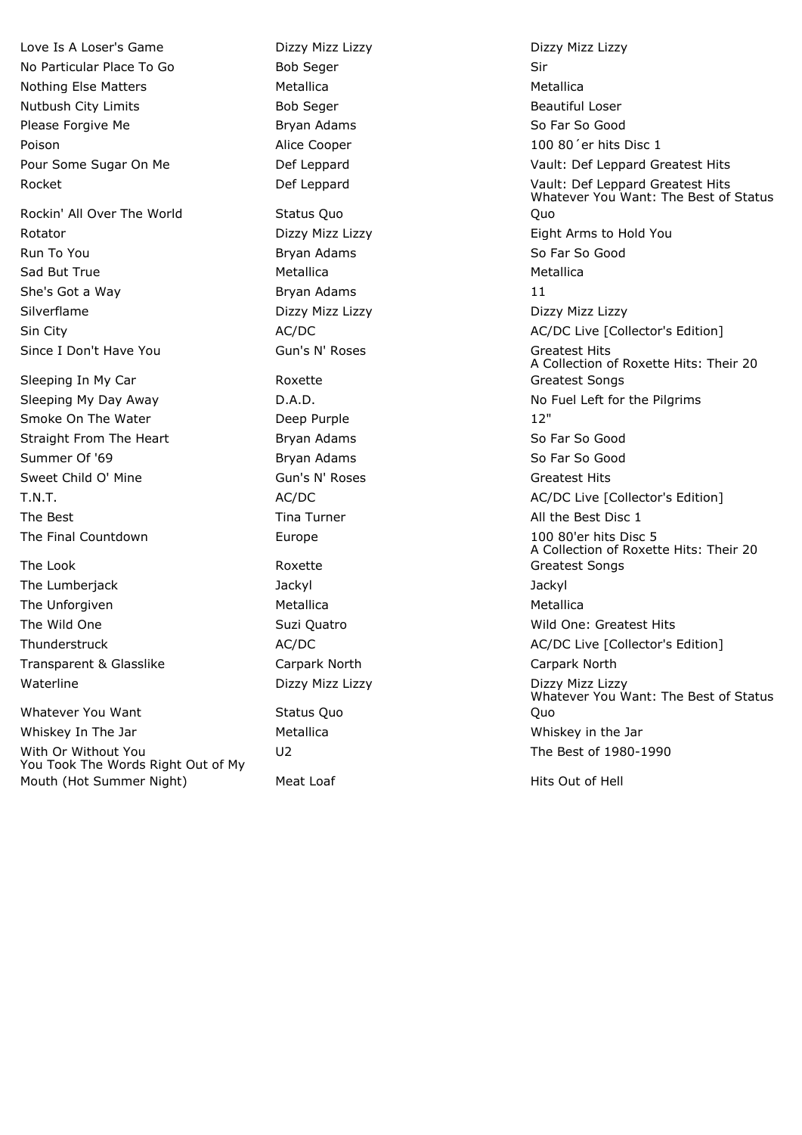Love Is A Loser's Game Dizzy Mizz Lizzy Dizzy Mizz Lizzy No Particular Place To Go Bob Seger Sir Nothing Else Matters **Matters** Metallica Metallica Nutbush City Limits **Bob Seast City Contains City Loser** Beautiful Loser Please Forgive Me **Bryan Adams** Bryan Adams **So Far So Good** Poison **Alice Cooper** 200 80<sup>'</sup>er hits Disc 1

Rockin' All Over The World Status Quo Rotator Dizzy Mizz Lizzy Eight Arms to Hold You Run To You **Bryan Adams** So Far So Good Bryan Adams So Far So Good Sad But True **Metallica** Metallica **Metallica** Metallica Metallica She's Got a Way Bryan Adams 11 Silverflame **Dizzy Mizz Lizzy Dizzy Mizz Lizzy** Dizzy Mizz Lizzy Dizzy Dizzy Dizzy Dizzy Dizzy Dizzy Dizzy Dizzy Since I Don't Have You **Gun's N' Roses** Gun's N' Roses **Greatest Hits** 

Sleeping In My Car **Roxette** Smoke On The Water **Deep Purple** 12" Straight From The Heart **Bryan Adams** So Far So Good Summer Of '69 Bryan Adams So Far So Good Bryan Adams So Far So Good Sweet Child O' Mine **Gun's N' Roses** Greatest Hits Greatest Hits The Best **Time Transform Time Turner** All the Best Disc 1 The Final Countdown **Europe** 100 80'er hits Disc 5

The Look and Roxette The Lumberjack Jackyl Jackyl The Unforgiven The Unforgiven Metallica Channel Metallica Metallica Transparent & Glasslike Carpark North Carpark North Waterline **Dizzy Mizz Lizzy Mizz Lizzy Dizzy Mizz Lizzy** Dizzy Mizz Lizzy Dizzy Dizzy Dizzy Dizzy Dizzy Dizzy Diz

Whatever You Want Status Quo Whiskey In The Jar **Metallica** Metallica **Metallica** Whiskey in the Jar With Or Without You **Contact Contact COV** U2 Contact Contact Contact The Best of 1980-1990 You Took The Words Right Out of My Mouth (Hot Summer Night) Meat Loaf Hits Out of Hell Hits Out of Hell

Pour Some Sugar On Me **Def Leppard** Def Leppard Vault: Def Leppard Greatest Hits Rocket **National Example 2018** Def Leppard **Def Leppard Createst Hits** Vault: Def Leppard Greatest Hits Whatever You Want: The Best of Status Quo Sin City **AC/DC** AC/DC **AC/DC** AC/DC **AC/DC AC/DC** Live [Collector's Edition] A Collection of Roxette Hits: Their 20 Greatest Songs Sleeping My Day Away **D.A.D.** D.A.D. No Fuel Left for the Pilgrims T.N.T. T.N.T. AC/DC AC/DC AC/DC AC/DC AC/DC Live [Collector's Edition] A Collection of Roxette Hits: Their 20 Greatest Songs The Wild One Suzi Quatro Current Controller Wild One: Greatest Hits Thunderstruck **AC/DC** AC/DC AC/DC AC/DC AC/DC Live [Collector's Edition] Whatever You Want: The Best of Status Quo